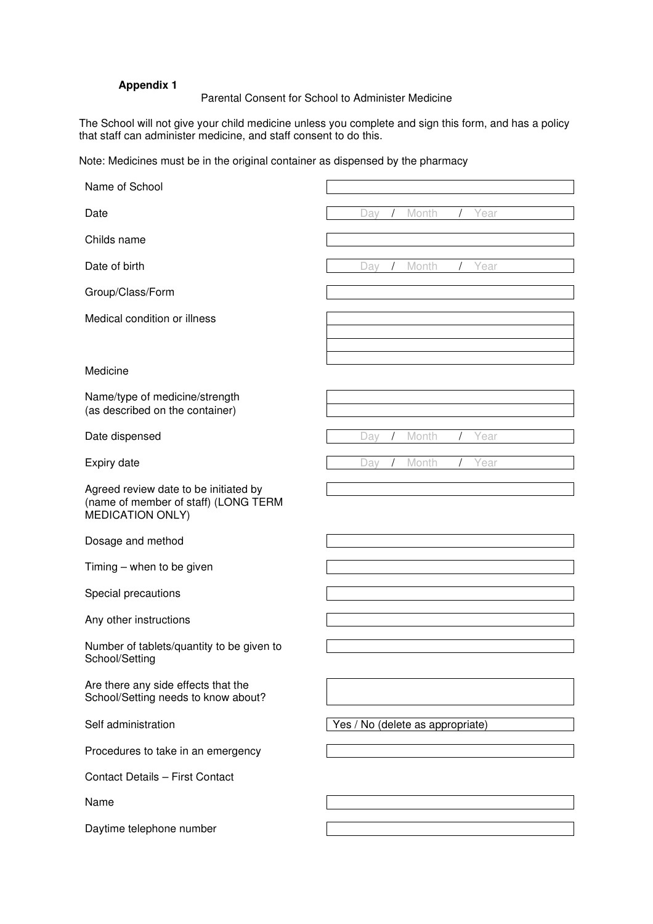## **Appendix 1**

## Parental Consent for School to Administer Medicine

The School will not give your child medicine unless you complete and sign this form, and has a policy that staff can administer medicine, and staff consent to do this.

Note: Medicines must be in the original container as dispensed by the pharmacy

| Name of School                                                                                           |                                  |
|----------------------------------------------------------------------------------------------------------|----------------------------------|
| Date                                                                                                     | Month<br>Day<br>Year             |
| Childs name                                                                                              |                                  |
| Date of birth                                                                                            | Month<br>Day<br>Year             |
| Group/Class/Form                                                                                         |                                  |
| Medical condition or illness                                                                             |                                  |
|                                                                                                          |                                  |
| Medicine                                                                                                 |                                  |
| Name/type of medicine/strength<br>(as described on the container)                                        |                                  |
| Date dispensed                                                                                           | Month<br>Day<br>Year             |
| Expiry date                                                                                              | Month<br>Day<br>Year             |
| Agreed review date to be initiated by<br>(name of member of staff) (LONG TERM<br><b>MEDICATION ONLY)</b> |                                  |
| Dosage and method                                                                                        |                                  |
| Timing - when to be given                                                                                |                                  |
| Special precautions                                                                                      |                                  |
| Any other instructions                                                                                   |                                  |
| Number of tablets/quantity to be given to<br>School/Setting                                              |                                  |
| Are there any side effects that the<br>School/Setting needs to know about?                               |                                  |
| Self administration                                                                                      | Yes / No (delete as appropriate) |
| Procedures to take in an emergency                                                                       |                                  |
| Contact Details - First Contact                                                                          |                                  |
| Name                                                                                                     |                                  |
| Daytime telephone number                                                                                 |                                  |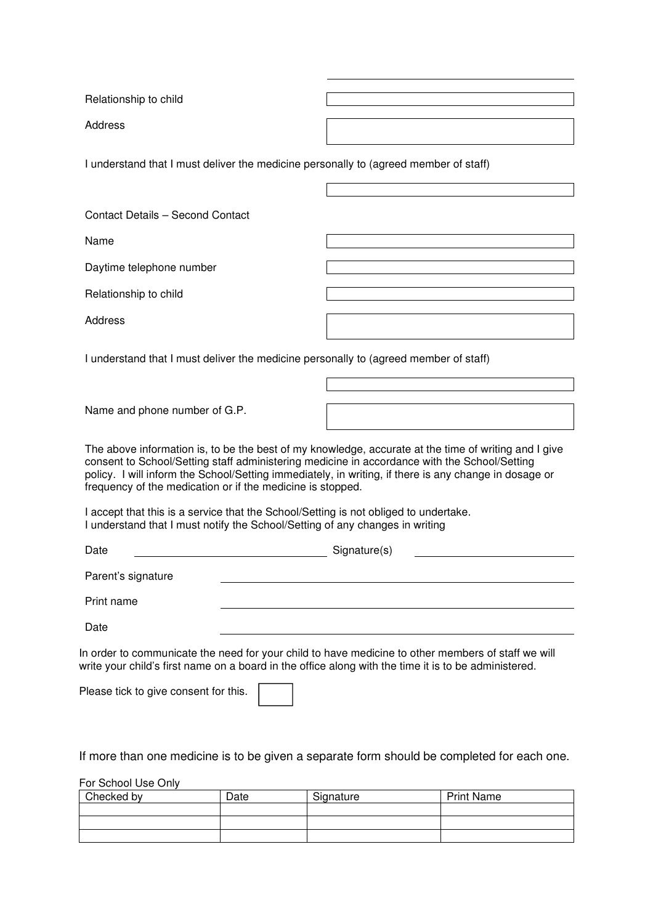Relationship to child

Address

I understand that I must deliver the medicine personally to (agreed member of staff)

Contact Details – Second Contact

Name

Daytime telephone number

Relationship to child

Address

I understand that I must deliver the medicine personally to (agreed member of staff)

Name and phone number of G.P.

The above information is, to be the best of my knowledge, accurate at the time of writing and I give consent to School/Setting staff administering medicine in accordance with the School/Setting policy. I will inform the School/Setting immediately, in writing, if there is any change in dosage or frequency of the medication or if the medicine is stopped.

I accept that this is a service that the School/Setting is not obliged to undertake. I understand that I must notify the School/Setting of any changes in writing

| Date               | Signature(s) |
|--------------------|--------------|
| Parent's signature |              |
| Print name         |              |
| Date               |              |
|                    |              |

In order to communicate the need for your child to have medicine to other members of staff we will write your child's first name on a board in the office along with the time it is to be administered.

Please tick to give consent for this.

If more than one medicine is to be given a separate form should be completed for each one.

For School Use Only

| Checked by | Date | Signature | <b>Print Name</b> |
|------------|------|-----------|-------------------|
|            |      |           |                   |
|            |      |           |                   |
|            |      |           |                   |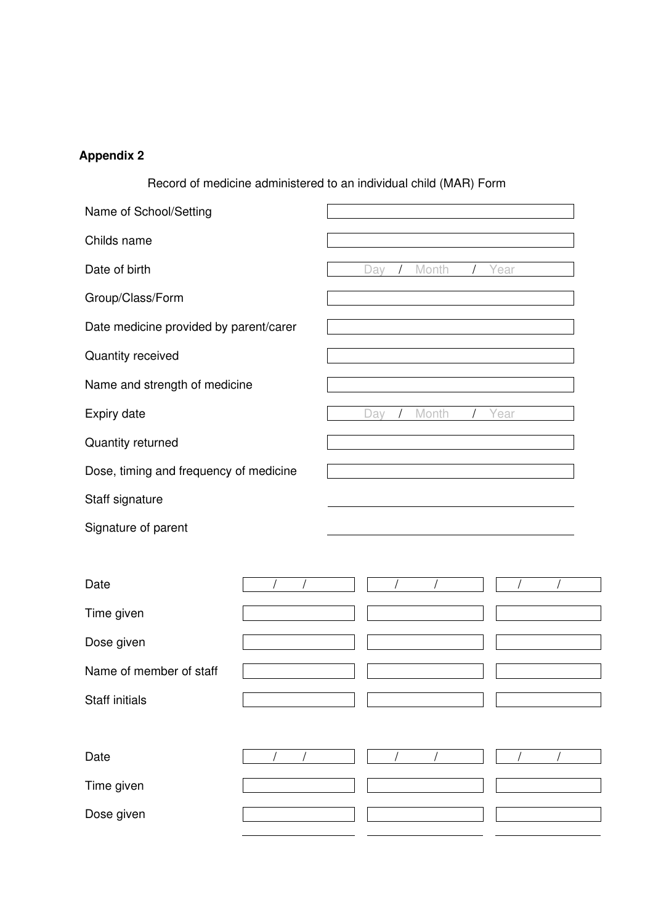## **Appendix 2**

Record of medicine administered to an individual child (MAR) Form

| Name of School/Setting                 |  |     |       |      |  |
|----------------------------------------|--|-----|-------|------|--|
| Childs name                            |  |     |       |      |  |
| Date of birth                          |  | Day | Month | Year |  |
| Group/Class/Form                       |  |     |       |      |  |
| Date medicine provided by parent/carer |  |     |       |      |  |
| Quantity received                      |  |     |       |      |  |
| Name and strength of medicine          |  |     |       |      |  |
| Expiry date                            |  | Day | Month | Year |  |
| Quantity returned                      |  |     |       |      |  |
| Dose, timing and frequency of medicine |  |     |       |      |  |
| Staff signature                        |  |     |       |      |  |
| Signature of parent                    |  |     |       |      |  |
|                                        |  |     |       |      |  |
| Date                                   |  |     |       |      |  |
| Time given                             |  |     |       |      |  |
| Dose given                             |  |     |       |      |  |
| Name of member of staff                |  |     |       |      |  |
| <b>Staff initials</b>                  |  |     |       |      |  |
|                                        |  |     |       |      |  |
| Date                                   |  |     |       |      |  |
| Time given                             |  |     |       |      |  |
| Dose given                             |  |     |       |      |  |
|                                        |  |     |       |      |  |